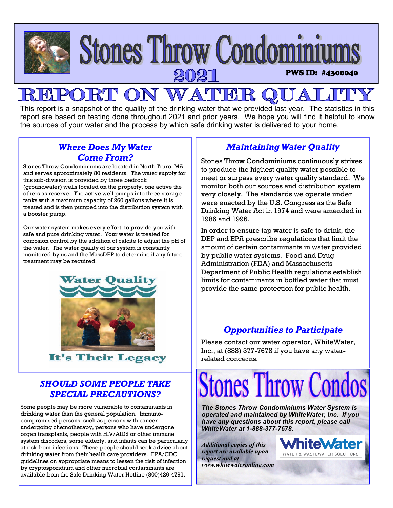

This report is a snapshot of the quality of the drinking water that we provided last year. The statistics in this report are based on testing done throughout 2021 and prior years. We hope you will find it helpful to know the sources of your water and the process by which safe drinking water is delivered to your home.

## *Where Does My Water Come From?*

Stones Throw Condominiums are located in North Truro, MA and serves approximately 80 residents. The water supply for this sub-division is provided by three bedrock (groundwater) wells located on the property, one active the others as reserve. The active well pumps into three storage tanks with a maximum capacity of 260 gallons where it is treated and is then pumped into the distribution system with a booster pump.

Our water system makes every effort to provide you with safe and pure drinking water. Your water is treated for corrosion control by the addition of calcite to adjust the pH of the water. The water quality of our system is constantly monitored by us and the MassDEP to determine if any future treatment may be required.



It's Their Legacy

# *SHOULD SOME PEOPLE TAKE SPECIAL PRECAUTIONS?*

Some people may be more vulnerable to contaminants in drinking water than the general population. Immunocompromised persons, such as persons with cancer undergoing chemotherapy, persons who have undergone organ transplants, people with HIV/AIDS or other immune system disorders, some elderly, and infants can be particularly at risk from infections. These people should seek advice about drinking water from their health care providers. EPA/CDC guidelines on appropriate means to lessen the risk of infection by cryptosporidium and other microbial contaminants are available from the Safe Drinking Water Hotline (800)426-4791.

# *Maintaining Water Quality*

Stones Throw Condominiums continuously strives to produce the highest quality water possible to meet or surpass every water quality standard. We monitor both our sources and distribution system very closely. The standards we operate under were enacted by the U.S. Congress as the Safe Drinking Water Act in 1974 and were amended in 1986 and 1996.

In order to ensure tap water is safe to drink, the DEP and EPA prescribe regulations that limit the amount of certain contaminants in water provided by public water systems. Food and Drug Administration (FDA) and Massachusetts Department of Public Health regulations establish limits for contaminants in bottled water that must provide the same protection for public health.

### *Opportunities to Participate*

Please contact our water operator, WhiteWater, Inc., at (888) 377-7678 if you have any waterrelated concerns.

# tones Throw Con

*The Stones Throw Condominiums Water System is operated and maintained by WhiteWater, Inc. If you have any questions about this report, please call WhiteWater at 1-888-377-7678.* 

*Additional copies of this report are available upon request and at www.whitewateronline.com* 

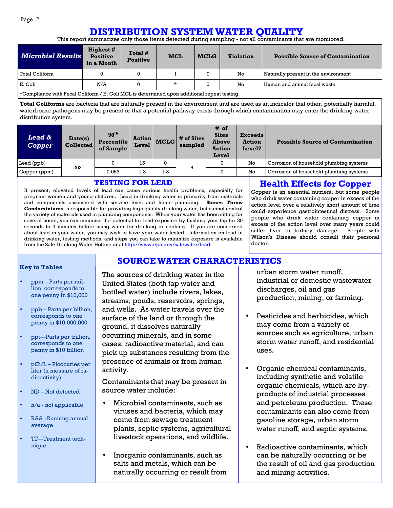# **DISTRIBUTION SYSTEM WATER QUALITY**

This report summarizes only those items detected during sampling - not all contaminants that are monitored.

| <b>Microbial Results</b>                                                                                  | <b>Highest</b> #<br><b>Positive</b><br>in a Month | Total #<br><b>Positive</b> | <b>MCL</b> | <b>MCLG</b> | <b>Violation</b> | <b>Possible Source of Contamination</b> |  |  |  |
|-----------------------------------------------------------------------------------------------------------|---------------------------------------------------|----------------------------|------------|-------------|------------------|-----------------------------------------|--|--|--|
| Total Coliform                                                                                            |                                                   | $\mathbf{0}$               |            |             | No               | Naturally present in the environment    |  |  |  |
| E. Coli                                                                                                   | *<br>Human and animal fecal waste<br>No<br>N/A    |                            |            |             |                  |                                         |  |  |  |
| $\,{}^{\star}$ Compliance with Fecal Coliform / E. Coli MCL is determined upon additional repeat testing. |                                                   |                            |            |             |                  |                                         |  |  |  |

\*Compliance with Fecal Coliform / E. Coli MCL is determined upon additional repeat testing.

**Total Coliforms** are bacteria that are naturally present in the environment and are used as an indicator that other, potentially harmful, waterborne pathogens may be present or that a potential pathway exists through which contamination may enter the drinking water distribution system.

| <b>Lead &amp;</b><br><b>Copper</b> | Date(s)<br><b>Collected</b> | 90 <sup>th</sup><br><b>Percentile</b><br>of Sample | <b>Action</b><br>Level | <b>MCLG</b> | # of Sites<br>sampled | # of<br><b>Sites</b><br><b>Above</b><br><b>Action</b><br>Level | <b>Exceeds</b><br><b>Action</b><br><b>Level?</b> | <b>Possible Source of Contamination</b> |  |
|------------------------------------|-----------------------------|----------------------------------------------------|------------------------|-------------|-----------------------|----------------------------------------------------------------|--------------------------------------------------|-----------------------------------------|--|
| Lead (ppb)                         | 2021                        |                                                    | 15                     |             | 5                     | $\sim$                                                         | No                                               | Corrosion of household plumbing systems |  |
| Copper (ppm)                       |                             | 0.053                                              | 1.3                    | 1.3         |                       |                                                                | No                                               | Corrosion of household plumbing systems |  |

**SOURCE WATER CHARACTERISTICS**

#### **TESTING FOR LEAD**

If present, elevated levels of lead can cause serious health problems, especially for pregnant women and young children. Lead in drinking water is primarily from materials and components associated with service lines and home plumbing. **Stones Throw Condominiums** is responsible for providing high quality drinking water, but cannot control the variety of materials used in plumbing components. When your water has been sitting for several hours, you can minimize the potential for lead exposure by flushing your tap for 30 seconds to 2 minutes before using water for drinking or cooking. If you are concerned about lead in your water, you may wish to have your water tested. Information on lead in drinking water, testing methods, and steps you can take to minimize exposure is available from the Safe Drinking Water Hotline or at http://www.epa.gov/safewater/lead.

#### **Health Effects for Copper**

Copper is an essential nutrient, but some people who drink water containing copper in excess of the action level over a relatively short amount of time could experience gastrointestinal distress. Some people who drink water containing copper in excess of the action level over many years could suffer liver or kidney damage. People with Wilson's Disease should consult their personal doctor.

#### **Key to Tables**

- ppm Parts per million, corresponds to one penny in \$10,000
- ppb Parts per billion, corresponds to one penny in \$10,000,000
- ppt—Parts per trillion, corresponds to one penny in \$10 billion
- pCi/L Picocuries per liter (a measure of radioactivity)
- ND Not detected
- n/a not applicable
- RAA –Running annual average
- TT—Treatment technique

The sources of drinking water in the United States (both tap water and bottled water) include rivers, lakes, streams, ponds, reservoirs, springs, and wells. As water travels over the surface of the land or through the ground, it dissolves naturally occurring minerals, and in some cases, radioactive material, and can pick up substances resulting from the presence of animals or from human activity.

Contaminants that may be present in source water include:

- Microbial contaminants, such as viruses and bacteria, which may come from sewage treatment plants, septic systems, agricultural livestock operations, and wildlife.
- Inorganic contaminants, such as salts and metals, which can be naturally occurring or result from

urban storm water runoff, industrial or domestic wastewater discharges, oil and gas production, mining, or farming.

- Pesticides and herbicides, which may come from a variety of sources such as agriculture, urban storm water runoff, and residential uses.
- Organic chemical contaminants, including synthetic and volatile organic chemicals, which are byproducts of industrial processes and petroleum production. These contaminants can also come from gasoline storage, urban storm water runoff, and septic systems.
- Radioactive contaminants, which can be naturally occurring or be the result of oil and gas production and mining activities.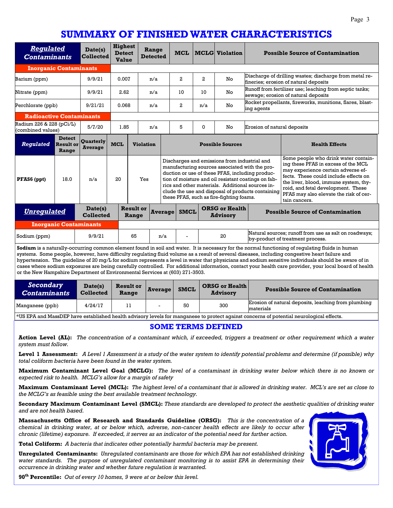# **SUMMARY OF FINISHED WATER CHARACTERISTICS**

| <b>Regulated</b><br><b>Contaminants</b>                                                                                                   |                                                         | Date(s)<br><b>Collected</b>        | <b>Highest</b><br><b>Detect</b><br><b>Value</b> |                           | Range<br><b>Detected</b> |                                                                                                                                                                                                                                                                                                                                                               | <b>MCL</b>                  |     | <b>MCLG</b> Violation                                                                                                                                                                                      |                             | <b>Possible Source of Contamination</b>                                                                                                                                                                                                                                                              |
|-------------------------------------------------------------------------------------------------------------------------------------------|---------------------------------------------------------|------------------------------------|-------------------------------------------------|---------------------------|--------------------------|---------------------------------------------------------------------------------------------------------------------------------------------------------------------------------------------------------------------------------------------------------------------------------------------------------------------------------------------------------------|-----------------------------|-----|------------------------------------------------------------------------------------------------------------------------------------------------------------------------------------------------------------|-----------------------------|------------------------------------------------------------------------------------------------------------------------------------------------------------------------------------------------------------------------------------------------------------------------------------------------------|
| <b>Inorganic Contaminants</b>                                                                                                             |                                                         |                                    |                                                 |                           |                          |                                                                                                                                                                                                                                                                                                                                                               |                             |     |                                                                                                                                                                                                            |                             |                                                                                                                                                                                                                                                                                                      |
| 9/9/21<br>Barium (ppm)                                                                                                                    |                                                         |                                    | 0.007<br>n/a                                    |                           |                          | 2                                                                                                                                                                                                                                                                                                                                                             | $\mathbf{2}$                | No  | Discharge of drilling wastes; discharge from metal re-<br>fineries; erosion of natural deposits                                                                                                            |                             |                                                                                                                                                                                                                                                                                                      |
| Nitrate (ppm)                                                                                                                             |                                                         | 9/9/21                             | 2.62                                            |                           | n/a                      |                                                                                                                                                                                                                                                                                                                                                               | 10                          | 10  | No                                                                                                                                                                                                         |                             | Runoff from fertilizer use; leaching from septic tanks;<br>sewage; erosion of natural deposits                                                                                                                                                                                                       |
| Perchlorate (ppb)                                                                                                                         |                                                         | 9/21/21                            | 0.068                                           |                           | n/a                      |                                                                                                                                                                                                                                                                                                                                                               | $\overline{a}$              | n/a | No                                                                                                                                                                                                         | ing agents                  | Rocket propellants, fireworks, munitions, flares, blast-                                                                                                                                                                                                                                             |
| <b>Radioactive Contaminants</b>                                                                                                           |                                                         |                                    |                                                 |                           |                          |                                                                                                                                                                                                                                                                                                                                                               |                             |     |                                                                                                                                                                                                            |                             |                                                                                                                                                                                                                                                                                                      |
|                                                                                                                                           | Radium 226 & 228 (pCi/L)<br>5/7/20<br>(combined values) |                                    | 1.85                                            |                           | n/a                      |                                                                                                                                                                                                                                                                                                                                                               | 5                           | 0   | No                                                                                                                                                                                                         | Erosion of natural deposits |                                                                                                                                                                                                                                                                                                      |
| <b>Regulated</b>                                                                                                                          | <b>Detect</b><br><b>Result or</b><br>Range              | <b>Ouarterly</b><br><b>Average</b> | <b>MCL</b>                                      | <b>Violation</b>          |                          | <b>Possible Sources</b>                                                                                                                                                                                                                                                                                                                                       |                             |     |                                                                                                                                                                                                            |                             | <b>Health Effects</b>                                                                                                                                                                                                                                                                                |
| PFAS6 (ppt)                                                                                                                               | 18.0                                                    | n/a                                | 20                                              | Yes                       |                          | Discharges and emissions from industrial and<br>manufacturing sources associated with the pro-<br>duction or use of these PFAS, including produc-<br>tion of moisture and oil resistant coatings on fab-<br>rics and other materials. Additional sources in-<br>clude the use and disposal of products containing<br>these PFAS, such as fire-fighting foams. |                             |     |                                                                                                                                                                                                            |                             | Some people who drink water contain-<br>ing these PFAS in excess of the MCL<br>may experience certain adverse ef-<br>fects. These could include effects on<br>the liver, blood, immune system, thy-<br>roid, and fetal development. These<br>PFAS may also elevate the risk of cer-<br>tain cancers. |
| <b>Unregulated</b>                                                                                                                        |                                                         | Date(s)<br><b>Collected</b>        |                                                 | <b>Result or</b><br>Range |                          | <b>Average</b><br><b>SMCL</b>                                                                                                                                                                                                                                                                                                                                 |                             |     | <b>ORSG or Health</b><br><b>Advisory</b>                                                                                                                                                                   |                             | <b>Possible Source of Contamination</b>                                                                                                                                                                                                                                                              |
|                                                                                                                                           | <b>Inorganic Contaminants</b>                           |                                    |                                                 |                           |                          |                                                                                                                                                                                                                                                                                                                                                               |                             |     |                                                                                                                                                                                                            |                             |                                                                                                                                                                                                                                                                                                      |
| 9/9/21<br>Sodium (ppm)<br>the contract of the contract of the contract of the contract of the contract of the contract of the contract of |                                                         |                                    | 65<br>n/a<br>$\sim$ $\sim$<br>$\cdot$           |                           |                          |                                                                                                                                                                                                                                                                                                                                                               | $\mathbf{r}$ . $\mathbf{r}$ | 20  | Natural sources; runoff from use as salt on roadways;<br>by-product of treatment process.<br>a la contrata de la contrata de la contrata de la contrata de la contrata de la contrata de la contrata de la |                             |                                                                                                                                                                                                                                                                                                      |

**Sodium** is a naturally-occurring common element found in soil and water. It is necessary for the normal functioning of regulating fluids in human systems. Some people, however, have difficulty regulating fluid volume as a result of several diseases, including congestive heart failure and hypertension. The guideline of 20 mg/L for sodium represents a level in water that physicians and sodium sensitive individuals should be aware of in cases where sodium exposures are being carefully controlled. For additional information, contact your health care provider, your local board of health or the New Hampshire Department of Environmental Services at (603) 271-3503.

| Secondary<br><b>Contaminants</b>                                                                                                         | Date(s)<br><b>Collected</b> | <b>Result or</b><br>Range | Average                  | <b>SMCL</b> | <b>ORSG or Health</b><br><b>Advisory</b> | <b>Possible Source of Contamination</b>                          |  |  |  |  |  |
|------------------------------------------------------------------------------------------------------------------------------------------|-----------------------------|---------------------------|--------------------------|-------------|------------------------------------------|------------------------------------------------------------------|--|--|--|--|--|
| Manganese (ppb)                                                                                                                          | 4/24/17                     | 11                        | $\overline{\phantom{0}}$ | 50          | 300                                      | Erosion of natural deposits, leaching from plumbing<br>materials |  |  |  |  |  |
| *US EPA and MassDEP have established health advisory levels for manganese to protect against concerns of potential neurological effects. |                             |                           |                          |             |                                          |                                                                  |  |  |  |  |  |

**SOME TERMS DEFINED** 

**Action Level (AL):** *The concentration of a contaminant which, if exceeded, triggers a treatment or other requirement which a water system must follow.* 

**Level 1 Assessment:** *A Level 1 Assessment is a study of the water system to identify potential problems and determine (if possible) why total coliform bacteria have been found in the water system.* 

**Maximum Contaminant Level Goal (MCLG):** *The level of a contaminant in drinking water below which there is no known or expected risk to health. MCLG's allow for a margin of safety* 

**Maximum Contaminant Level (MCL):** *The highest level of a contaminant that is allowed in drinking water. MCL's are set as close to the MCLG's as feasible using the best available treatment technology.* 

**Secondary Maximum Contaminant Level (SMCL):** *These standards are developed to protect the aesthetic qualities of drinking water and are not health based.* 

**Massachusetts Office of Research and Standards Guideline (ORSG):** *This is the concentration of a chemical in drinking water, at or below which, adverse, non-cancer health effects are likely to occur after chronic (lifetime) exposure. If exceeded, it serves as an indicator of the potential need for further action.* 

**Total Coliform:** *A bacteria that indicates other potentially harmful bacteria may be present.* 

**Unregulated Contaminants:** *Unregulated contaminants are those for which EPA has not established drinking water standards. The purpose of unregulated contaminant monitoring is to assist EPA in determining their occurrence in drinking water and whether future regulation is warranted.* 

**90th Percentile:** *Out of every 10 homes, 9 were at or below this level.*